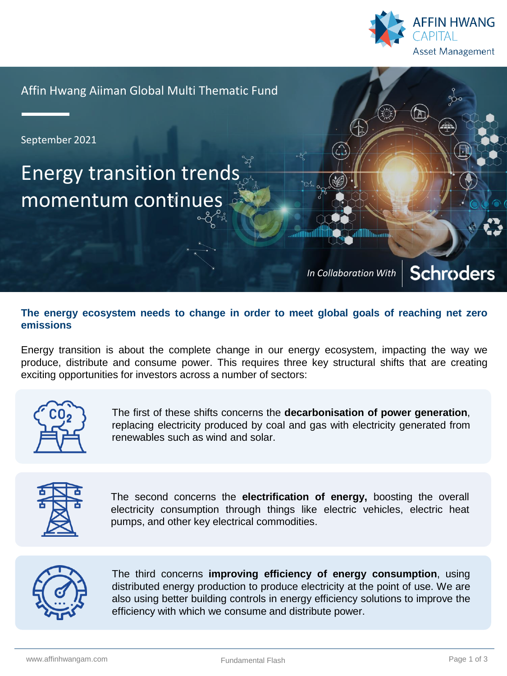

Affin Hwang Aiiman Global Multi Thematic Fund

September 2021

# Energy transition trends momentum continues

**Schroders** *In Collaboration With*

## **The energy ecosystem needs to change in order to meet global goals of reaching net zero emissions**

Energy transition is about the complete change in our energy ecosystem, impacting the way we produce, distribute and consume power. This requires three key structural shifts that are creating exciting opportunities for investors across a number of sectors:



The first of these shifts concerns the **decarbonisation of power generation**, replacing electricity produced by coal and gas with electricity generated from renewables such as wind and solar.



The second concerns the **electrification of energy,** boosting the overall electricity consumption through things like electric vehicles, electric heat pumps, and other key electrical commodities.



The third concerns **improving efficiency of energy consumption**, using distributed energy production to produce electricity at the point of use. We are also using better building controls in energy efficiency solutions to improve the efficiency with which we consume and distribute power.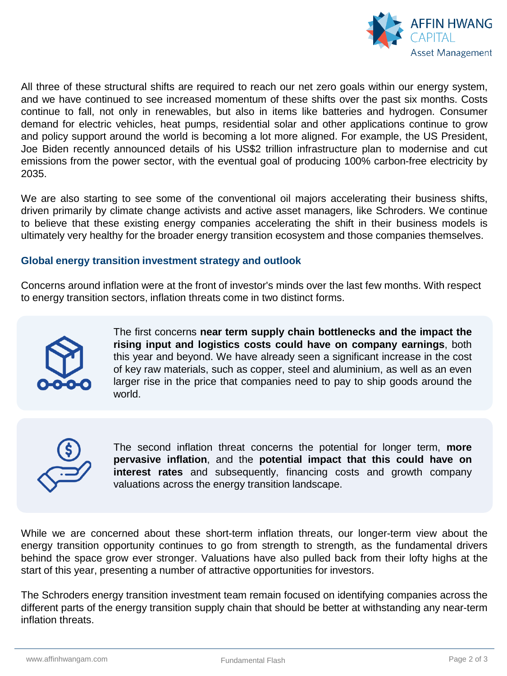

All three of these structural shifts are required to reach our net zero goals within our energy system, and we have continued to see increased momentum of these shifts over the past six months. Costs continue to fall, not only in renewables, but also in items like batteries and hydrogen. Consumer demand for electric vehicles, heat pumps, residential solar and other applications continue to grow and policy support around the world is becoming a lot more aligned. For example, the US President, Joe Biden recently announced details of his US\$2 trillion infrastructure plan to modernise and cut emissions from the power sector, with the eventual goal of producing 100% carbon-free electricity by 2035.

We are also starting to see some of the conventional oil majors accelerating their business shifts, driven primarily by climate change activists and active asset managers, like Schroders. We continue to believe that these existing energy companies accelerating the shift in their business models is ultimately very healthy for the broader energy transition ecosystem and those companies themselves.

### **Global energy transition investment strategy and outlook**

Concerns around inflation were at the front of investor's minds over the last few months. With respect to energy transition sectors, inflation threats come in two distinct forms.



The first concerns **near term supply chain bottlenecks and the impact the rising input and logistics costs could have on company earnings**, both this year and beyond. We have already seen a significant increase in the cost of key raw materials, such as copper, steel and aluminium, as well as an even larger rise in the price that companies need to pay to ship goods around the world.



The second inflation threat concerns the potential for longer term, **more pervasive inflation**, and the **potential impact that this could have on interest rates** and subsequently, financing costs and growth company valuations across the energy transition landscape.

While we are concerned about these short-term inflation threats, our longer-term view about the energy transition opportunity continues to go from strength to strength, as the fundamental drivers behind the space grow ever stronger. Valuations have also pulled back from their lofty highs at the start of this year, presenting a number of attractive opportunities for investors.

The Schroders energy transition investment team remain focused on identifying companies across the different parts of the energy transition supply chain that should be better at withstanding any near-term inflation threats.